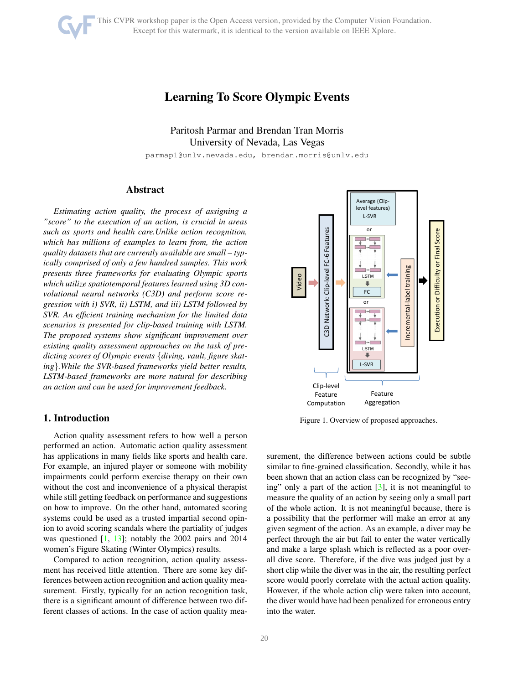# <span id="page-0-1"></span>Learning To Score Olympic Events

Paritosh Parmar and Brendan Tran Morris University of Nevada, Las Vegas

parmap1@unlv.nevada.edu, brendan.morris@unlv.edu

# Abstract

*Estimating action quality, the process of assigning a "score" to the execution of an action, is crucial in areas such as sports and health care.Unlike action recognition, which has millions of examples to learn from, the action quality datasets that are currently available are small – typically comprised of only a few hundred samples. This work presents three frameworks for evaluating Olympic sports which utilize spatiotemporal features learned using 3D convolutional neural networks (C3D) and perform score regression with i) SVR, ii) LSTM, and iii) LSTM followed by SVR. An efficient training mechanism for the limited data scenarios is presented for clip-based training with LSTM. The proposed systems show significant improvement over existing quality assessment approaches on the task of predicting scores of Olympic events* {*diving, vault, figure skating*}*.While the SVR-based frameworks yield better results, LSTM-based frameworks are more natural for describing an action and can be used for improvement feedback.*

# 1. Introduction

Action quality assessment refers to how well a person performed an action. Automatic action quality assessment has applications in many fields like sports and health care. For example, an injured player or someone with mobility impairments could perform exercise therapy on their own without the cost and inconvenience of a physical therapist while still getting feedback on performance and suggestions on how to improve. On the other hand, automated scoring systems could be used as a trusted impartial second opinion to avoid scoring scandals where the partiality of judges was questioned [\[1,](#page-7-0) [13\]](#page-8-0); notably the 2002 pairs and 2014 women's Figure Skating (Winter Olympics) results.

Compared to action recognition, action quality assessment has received little attention. There are some key differences between action recognition and action quality measurement. Firstly, typically for an action recognition task, there is a significant amount of difference between two different classes of actions. In the case of action quality mea-



<span id="page-0-0"></span>Figure 1. Overview of proposed approaches.

surement, the difference between actions could be subtle similar to fine-grained classification. Secondly, while it has been shown that an action class can be recognized by "seeing" only a part of the action  $\lceil 3 \rceil$ , it is not meaningful to measure the quality of an action by seeing only a small part of the whole action. It is not meaningful because, there is a possibility that the performer will make an error at any given segment of the action. As an example, a diver may be perfect through the air but fail to enter the water vertically and make a large splash which is reflected as a poor overall dive score. Therefore, if the dive was judged just by a short clip while the diver was in the air, the resulting perfect score would poorly correlate with the actual action quality. However, if the whole action clip were taken into account, the diver would have had been penalized for erroneous entry into the water.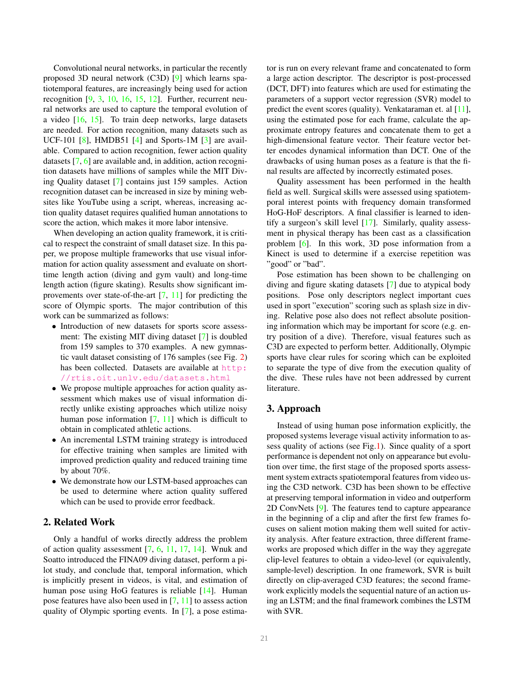<span id="page-1-0"></span>Convolutional neural networks, in particular the recently proposed 3D neural network (C3D) [\[9\]](#page-8-1) which learns spatiotemporal features, are increasingly being used for action recognition  $[9, 3, 10, 16, 15, 12]$  $[9, 3, 10, 16, 15, 12]$  $[9, 3, 10, 16, 15, 12]$  $[9, 3, 10, 16, 15, 12]$  $[9, 3, 10, 16, 15, 12]$  $[9, 3, 10, 16, 15, 12]$  $[9, 3, 10, 16, 15, 12]$  $[9, 3, 10, 16, 15, 12]$  $[9, 3, 10, 16, 15, 12]$  $[9, 3, 10, 16, 15, 12]$ . Further, recurrent neural networks are used to capture the temporal evolution of a video [\[16,](#page-8-3) [15\]](#page-8-4). To train deep networks, large datasets are needed. For action recognition, many datasets such as UCF-101  $[8]$ , HMDB51  $[4]$  and Sports-1M  $[3]$  are available. Compared to action recognition, fewer action quality datasets [\[7,](#page-8-7) [6\]](#page-8-8) are available and, in addition, action recognition datasets have millions of samples while the MIT Diving Quality dataset [\[7\]](#page-8-7) contains just 159 samples. Action recognition dataset can be increased in size by mining websites like YouTube using a script, whereas, increasing action quality dataset requires qualified human annotations to score the action, which makes it more labor intensive.

When developing an action quality framework, it is critical to respect the constraint of small dataset size. In this paper, we propose multiple frameworks that use visual information for action quality assessment and evaluate on shorttime length action (diving and gym vault) and long-time length action (figure skating). Results show significant improvements over state-of-the-art [\[7,](#page-8-7) [11\]](#page-8-9) for predicting the score of Olympic sports. The major contribution of this work can be summarized as follows:

- Introduction of new datasets for sports score assessment: The existing MIT diving dataset [\[7\]](#page-8-7) is doubled from 159 samples to 370 examples. A new gymnastic vault dataset consisting of 176 samples (see Fig. [2\)](#page-2-0) has been collected. Datasets are available at [http:](http://rtis.oit.unlv.edu/datasets.html) [//rtis.oit.unlv.edu/datasets.html](http://rtis.oit.unlv.edu/datasets.html)
- We propose multiple approaches for action quality assessment which makes use of visual information directly unlike existing approaches which utilize noisy human pose information [\[7,](#page-8-7) [11\]](#page-8-9) which is difficult to obtain in complicated athletic actions.
- An incremental LSTM training strategy is introduced for effective training when samples are limited with improved prediction quality and reduced training time by about 70%.
- We demonstrate how our LSTM-based approaches can be used to determine where action quality suffered which can be used to provide error feedback.

# 2. Related Work

Only a handful of works directly address the problem of action quality assessment [\[7,](#page-8-7) [6,](#page-8-8) [11,](#page-8-9) [17,](#page-8-10) [14\]](#page-8-11). Wnuk and Soatto introduced the FINA09 diving dataset, perform a pilot study, and conclude that, temporal information, which is implicitly present in videos, is vital, and estimation of human pose using HoG features is reliable [\[14\]](#page-8-11). Human pose features have also been used in [\[7,](#page-8-7) [11\]](#page-8-9) to assess action quality of Olympic sporting events. In [\[7\]](#page-8-7), a pose estimator is run on every relevant frame and concatenated to form a large action descriptor. The descriptor is post-processed (DCT, DFT) into features which are used for estimating the parameters of a support vector regression (SVR) model to predict the event scores (quality). Venkataraman et. al [\[11\]](#page-8-9), using the estimated pose for each frame, calculate the approximate entropy features and concatenate them to get a high-dimensional feature vector. Their feature vector better encodes dynamical information than DCT. One of the drawbacks of using human poses as a feature is that the final results are affected by incorrectly estimated poses.

Quality assessment has been performed in the health field as well. Surgical skills were assessed using spatiotemporal interest points with frequency domain transformed HoG-HoF descriptors. A final classifier is learned to identify a surgeon's skill level [\[17\]](#page-8-10). Similarly, quality assessment in physical therapy has been cast as a classification problem [\[6\]](#page-8-8). In this work, 3D pose information from a Kinect is used to determine if a exercise repetition was "good" or "bad".

Pose estimation has been shown to be challenging on diving and figure skating datasets [\[7\]](#page-8-7) due to atypical body positions. Pose only descriptors neglect important cues used in sport "execution" scoring such as splash size in diving. Relative pose also does not reflect absolute positioning information which may be important for score (e.g. entry position of a dive). Therefore, visual features such as C3D are expected to perform better. Additionally, Olympic sports have clear rules for scoring which can be exploited to separate the type of dive from the execution quality of the dive. These rules have not been addressed by current literature.

# 3. Approach

Instead of using human pose information explicitly, the proposed systems leverage visual activity information to assess quality of actions (see Fig[.1\)](#page-0-0). Since quality of a sport performance is dependent not only on appearance but evolution over time, the first stage of the proposed sports assessment system extracts spatiotemporal features from video using the C3D network. C3D has been shown to be effective at preserving temporal information in video and outperform 2D ConvNets [\[9\]](#page-8-1). The features tend to capture appearance in the beginning of a clip and after the first few frames focuses on salient motion making them well suited for activity analysis. After feature extraction, three different frameworks are proposed which differ in the way they aggregate clip-level features to obtain a video-level (or equivalently, sample-level) description. In one framework, SVR is built directly on clip-averaged C3D features; the second framework explicitly models the sequential nature of an action using an LSTM; and the final framework combines the LSTM with SVR.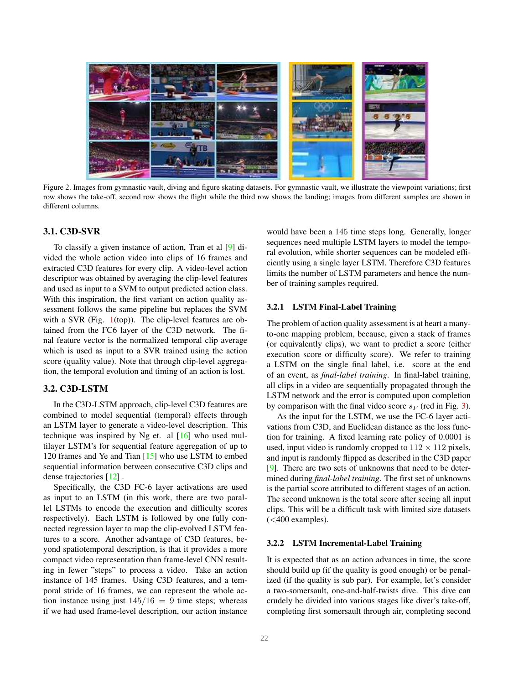<span id="page-2-1"></span>

Figure 2. Images from gymnastic vault, diving and figure skating datasets. For gymnastic vault, we illustrate the viewpoint variations; first row shows the take-off, second row shows the flight while the third row shows the landing; images from different samples are shown in different columns.

### <span id="page-2-0"></span>3.1. C3D-SVR

To classify a given instance of action, Tran et al [\[9\]](#page-8-1) divided the whole action video into clips of 16 frames and extracted C3D features for every clip. A video-level action descriptor was obtained by averaging the clip-level features and used as input to a SVM to output predicted action class. With this inspiration, the first variant on action quality assessment follows the same pipeline but replaces the SVM with a SVR (Fig.  $1$ (top)). The clip-level features are obtained from the FC6 layer of the C3D network. The final feature vector is the normalized temporal clip average which is used as input to a SVR trained using the action score (quality value). Note that through clip-level aggregation, the temporal evolution and timing of an action is lost.

### 3.2. C3D-LSTM

In the C3D-LSTM approach, clip-level C3D features are combined to model sequential (temporal) effects through an LSTM layer to generate a video-level description. This technique was inspired by Ng et. al  $[16]$  who used multilayer LSTM's for sequential feature aggregation of up to 120 frames and Ye and Tian [\[15\]](#page-8-4) who use LSTM to embed sequential information between consecutive C3D clips and dense trajectories [\[12\]](#page-8-5) .

Specifically, the C3D FC-6 layer activations are used as input to an LSTM (in this work, there are two parallel LSTMs to encode the execution and difficulty scores respectively). Each LSTM is followed by one fully connected regression layer to map the clip-evolved LSTM features to a score. Another advantage of C3D features, beyond spatiotemporal description, is that it provides a more compact video representation than frame-level CNN resulting in fewer "steps" to process a video. Take an action instance of 145 frames. Using C3D features, and a temporal stride of 16 frames, we can represent the whole action instance using just  $145/16 = 9$  time steps; whereas if we had used frame-level description, our action instance would have been a 145 time steps long. Generally, longer sequences need multiple LSTM layers to model the temporal evolution, while shorter sequences can be modeled efficiently using a single layer LSTM. Therefore C3D features limits the number of LSTM parameters and hence the number of training samples required.

#### 3.2.1 LSTM Final-Label Training

The problem of action quality assessment is at heart a manyto-one mapping problem, because, given a stack of frames (or equivalently clips), we want to predict a score (either execution score or difficulty score). We refer to training a LSTM on the single final label, i.e. score at the end of an event, as *final-label training*. In final-label training, all clips in a video are sequentially propagated through the LSTM network and the error is computed upon completion by comparison with the final video score  $s_F$  (red in Fig. [3\)](#page-3-0).

As the input for the LSTM, we use the FC-6 layer activations from C3D, and Euclidean distance as the loss function for training. A fixed learning rate policy of 0.0001 is used, input video is randomly cropped to  $112 \times 112$  pixels, and input is randomly flipped as described in the C3D paper [\[9\]](#page-8-1). There are two sets of unknowns that need to be determined during *final-label training*. The first set of unknowns is the partial score attributed to different stages of an action. The second unknown is the total score after seeing all input clips. This will be a difficult task with limited size datasets  $( $400 \text{ examples}$ ).$ 

### 3.2.2 LSTM Incremental-Label Training

It is expected that as an action advances in time, the score should build up (if the quality is good enough) or be penalized (if the quality is sub par). For example, let's consider a two-somersault, one-and-half-twists dive. This dive can crudely be divided into various stages like diver's take-off, completing first somersault through air, completing second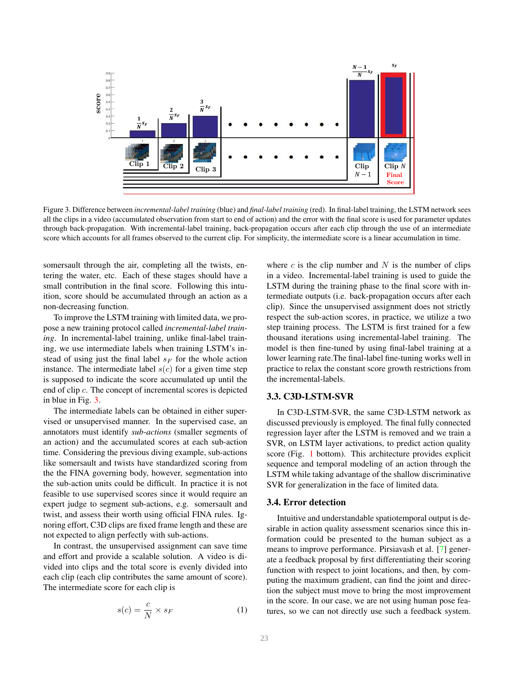<span id="page-3-1"></span>

<span id="page-3-0"></span>Figure 3. Difference between *incremental-label training* (blue) and *final-label training* (red). In final-label training, the LSTM network sees all the clips in a video (accumulated observation from start to end of action) and the error with the final score is used for parameter updates through back-propagation. With incremental-label training, back-propagation occurs after each clip through the use of an intermediate score which accounts for all frames observed to the current clip. For simplicity, the intermediate score is a linear accumulation in time.

somersault through the air, completing all the twists, entering the water, etc. Each of these stages should have a small contribution in the final score. Following this intuition, score should be accumulated through an action as a non-decreasing function.

To improve the LSTM training with limited data, we propose a new training protocol called *incremental-label training*. In incremental-label training, unlike final-label training, we use intermediate labels when training LSTM's instead of using just the final label  $s_F$  for the whole action instance. The intermediate label  $s(c)$  for a given time step is supposed to indicate the score accumulated up until the end of clip c. The concept of incremental scores is depicted in blue in Fig. [3.](#page-3-0)

The intermediate labels can be obtained in either supervised or unsupervised manner. In the supervised case, an annotators must identify *sub-actions* (smaller segments of an action) and the accumulated scores at each sub-action time. Considering the previous diving example, sub-actions like somersault and twists have standardized scoring from the the FINA governing body, however, segmentation into the sub-action units could be difficult. In practice it is not feasible to use supervised scores since it would require an expert judge to segment sub-actions, e.g. somersault and twist, and assess their worth using official FINA rules. Ignoring effort, C3D clips are fixed frame length and these are not expected to align perfectly with sub-actions.

In contrast, the unsupervised assignment can save time and effort and provide a scalable solution. A video is divided into clips and the total score is evenly divided into each clip (each clip contributes the same amount of score). The intermediate score for each clip is

$$
s(c) = \frac{c}{N} \times s_F \tag{1}
$$

where  $c$  is the clip number and  $N$  is the number of clips in a video. Incremental-label training is used to guide the LSTM during the training phase to the final score with intermediate outputs (i.e. back-propagation occurs after each clip). Since the unsupervised assignment does not strictly respect the sub-action scores, in practice, we utilize a two step training process. The LSTM is first trained for a few thousand iterations using incremental-label training. The model is then fine-tuned by using final-label training at a lower learning rate.The final-label fine-tuning works well in practice to relax the constant score growth restrictions from the incremental-labels.

### 3.3. C3D-LSTM-SVR

In C3D-LSTM-SVR, the same C3D-LSTM network as discussed previously is employed. The final fully connected regression layer after the LSTM is removed and we train a SVR, on LSTM layer activations, to predict action quality score (Fig. [1](#page-0-0) bottom). This architecture provides explicit sequence and temporal modeling of an action through the LSTM while taking advantage of the shallow discriminative SVR for generalization in the face of limited data.

#### 3.4. Error detection

Intuitive and understandable spatiotemporal output is desirable in action quality assessment scenarios since this information could be presented to the human subject as a means to improve performance. Pirsiavash et al. [\[7\]](#page-8-7) generate a feedback proposal by first differentiating their scoring function with respect to joint locations, and then, by computing the maximum gradient, can find the joint and direction the subject must move to bring the most improvement in the score. In our case, we are not using human pose features, so we can not directly use such a feedback system.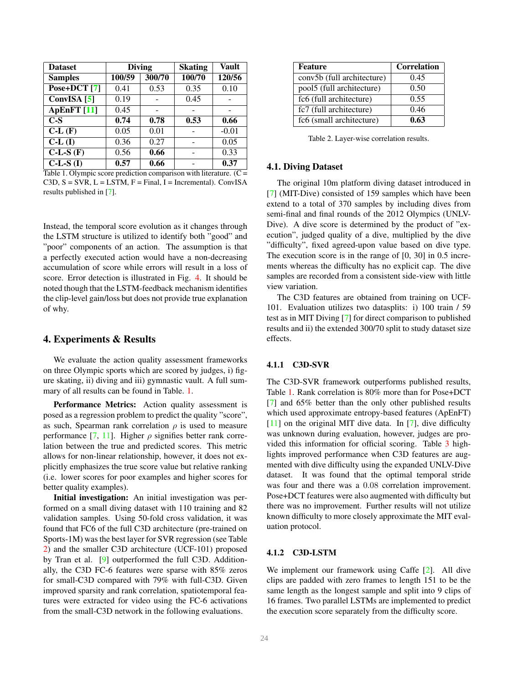<span id="page-4-2"></span>

| <b>Dataset</b>           |        | <b>Diving</b> | <b>Skating</b> | <b>Vault</b> |  |
|--------------------------|--------|---------------|----------------|--------------|--|
| <b>Samples</b>           | 100/59 | 300/70        | 100/70         | 120/56       |  |
| Pose+DCT [7]             | 0.41   | 0.53          | 0.35           | 0.10         |  |
| ConvISA $[5]$            | 0.19   |               | 0.45           |              |  |
| ApEnFT [11]              | 0.45   |               |                |              |  |
| $C-S$                    | 0.74   | 0.78          | 0.53           | 0.66         |  |
| $C-L(F)$                 | 0.05   | 0.01          |                | $-0.01$      |  |
| CL(I)                    | 0.36   | 0.27          |                | 0.05         |  |
| $\overline{C-L-S}$ $(F)$ | 0.56   | 0.66          |                | 0.33         |  |
| $C-L-S(I)$               | 0.57   | 0.66          |                | 0.37         |  |

<span id="page-4-0"></span>Table 1. Olympic score prediction comparison with literature.  $(C =$  $C3D, S = SVR, L = LSTM, F = Final, I = Incremental)$ . ConvISA results published in [\[7\]](#page-8-7).

Instead, the temporal score evolution as it changes through the LSTM structure is utilized to identify both "good" and "poor" components of an action. The assumption is that a perfectly executed action would have a non-decreasing accumulation of score while errors will result in a loss of score. Error detection is illustrated in Fig. [4.](#page-5-0) It should be noted though that the LSTM-feedback mechanism identifies the clip-level gain/loss but does not provide true explanation of why.

# 4. Experiments & Results

We evaluate the action quality assessment frameworks on three Olympic sports which are scored by judges, i) figure skating, ii) diving and iii) gymnastic vault. A full summary of all results can be found in Table. [1.](#page-4-0)

Performance Metrics: Action quality assessment is posed as a regression problem to predict the quality "score", as such, Spearman rank correlation  $\rho$  is used to measure performance  $[7, 11]$  $[7, 11]$ . Higher  $\rho$  signifies better rank correlation between the true and predicted scores. This metric allows for non-linear relationship, however, it does not explicitly emphasizes the true score value but relative ranking (i.e. lower scores for poor examples and higher scores for better quality examples).

Initial investigation: An initial investigation was performed on a small diving dataset with 110 training and 82 validation samples. Using 50-fold cross validation, it was found that FC6 of the full C3D architecture (pre-trained on Sports-1M) was the best layer for SVR regression (see Table [2\)](#page-4-1) and the smaller C3D architecture (UCF-101) proposed by Tran et al. [\[9\]](#page-8-1) outperformed the full C3D. Additionally, the C3D FC-6 features were sparse with 85% zeros for small-C3D compared with 79% with full-C3D. Given improved sparsity and rank correlation, spatiotemporal features were extracted for video using the FC-6 activations from the small-C3D network in the following evaluations.

| Feature                    | <b>Correlation</b> |  |  |  |
|----------------------------|--------------------|--|--|--|
| conv5b (full architecture) | 0.45               |  |  |  |
| pool5 (full architecture)  | 0.50               |  |  |  |
| fc6 (full architecture)    | 0.55               |  |  |  |
| fc7 (full architecture)    | 0.46               |  |  |  |
| fc6 (small architecture)   | 0.63               |  |  |  |

<span id="page-4-1"></span>Table 2. Layer-wise correlation results.

#### 4.1. Diving Dataset

The original 10m platform diving dataset introduced in [\[7\]](#page-8-7) (MIT-Dive) consisted of 159 samples which have been extend to a total of 370 samples by including dives from semi-final and final rounds of the 2012 Olympics (UNLV-Dive). A dive score is determined by the product of "execution", judged quality of a dive, multiplied by the dive "difficulty", fixed agreed-upon value based on dive type. The execution score is in the range of [0, 30] in 0.5 increments whereas the difficulty has no explicit cap. The dive samples are recorded from a consistent side-view with little view variation.

The C3D features are obtained from training on UCF-101. Evaluation utilizes two datasplits: i) 100 train / 59 test as in MIT Diving [\[7\]](#page-8-7) for direct comparison to published results and ii) the extended 300/70 split to study dataset size effects.

### 4.1.1 C3D-SVR

The C3D-SVR framework outperforms published results, Table [1.](#page-4-0) Rank correlation is 80% more than for Pose+DCT [\[7\]](#page-8-7) and 65% better than the only other published results which used approximate entropy-based features (ApEnFT) [\[11\]](#page-8-9) on the original MIT dive data. In [\[7\]](#page-8-7), dive difficulty was unknown during evaluation, however, judges are provided this information for official scoring. Table [3](#page-5-1) highlights improved performance when C3D features are augmented with dive difficulty using the expanded UNLV-Dive dataset. It was found that the optimal temporal stride was four and there was a 0.08 correlation improvement. Pose+DCT features were also augmented with difficulty but there was no improvement. Further results will not utilize known difficulty to more closely approximate the MIT evaluation protocol.

### 4.1.2 C3D-LSTM

We implement our framework using Caffe [\[2\]](#page-7-3). All dive clips are padded with zero frames to length 151 to be the same length as the longest sample and split into 9 clips of 16 frames. Two parallel LSTMs are implemented to predict the execution score separately from the difficulty score.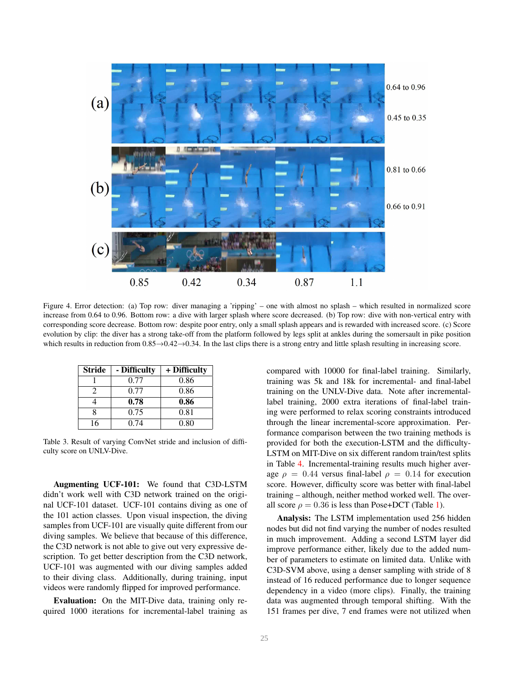

<span id="page-5-0"></span>Figure 4. Error detection: (a) Top row: diver managing a 'ripping' – one with almost no splash – which resulted in normalized score increase from 0.64 to 0.96. Bottom row: a dive with larger splash where score decreased. (b) Top row: dive with non-vertical entry with corresponding score decrease. Bottom row: despite poor entry, only a small splash appears and is rewarded with increased score. (c) Score evolution by clip: the diver has a strong take-off from the platform followed by legs split at ankles during the somersault in pike position which results in reduction from  $0.85 \rightarrow 0.42 \rightarrow 0.34$ . In the last clips there is a strong entry and little splash resulting in increasing score.

| <b>Stride</b> | - Difficulty | + Difficulty |
|---------------|--------------|--------------|
|               | 0.77         | 0.86         |
|               | 0.77         | 0.86         |
|               | 0.78         | 0.86         |
|               | 0.75         | 0.81         |
| 16            | 0.74         | 0.80         |

<span id="page-5-1"></span>Table 3. Result of varying ConvNet stride and inclusion of difficulty score on UNLV-Dive.

Augmenting UCF-101: We found that C3D-LSTM didn't work well with C3D network trained on the original UCF-101 dataset. UCF-101 contains diving as one of the 101 action classes. Upon visual inspection, the diving samples from UCF-101 are visually quite different from our diving samples. We believe that because of this difference, the C3D network is not able to give out very expressive description. To get better description from the C3D network, UCF-101 was augmented with our diving samples added to their diving class. Additionally, during training, input videos were randomly flipped for improved performance.

Evaluation: On the MIT-Dive data, training only required 1000 iterations for incremental-label training as compared with 10000 for final-label training. Similarly, training was 5k and 18k for incremental- and final-label training on the UNLV-Dive data. Note after incrementallabel training, 2000 extra iterations of final-label training were performed to relax scoring constraints introduced through the linear incremental-score approximation. Performance comparison between the two training methods is provided for both the execution-LSTM and the difficulty-LSTM on MIT-Dive on six different random train/test splits in Table [4.](#page-6-0) Incremental-training results much higher average  $\rho = 0.44$  versus final-label  $\rho = 0.14$  for execution score. However, difficulty score was better with final-label training – although, neither method worked well. The overall score  $\rho = 0.36$  is less than Pose+DCT (Table [1\)](#page-4-0).

Analysis: The LSTM implementation used 256 hidden nodes but did not find varying the number of nodes resulted in much improvement. Adding a second LSTM layer did improve performance either, likely due to the added number of parameters to estimate on limited data. Unlike with C3D-SVM above, using a denser sampling with stride of 8 instead of 16 reduced performance due to longer sequence dependency in a video (more clips). Finally, the training data was augmented through temporal shifting. With the 151 frames per dive, 7 end frames were not utilized when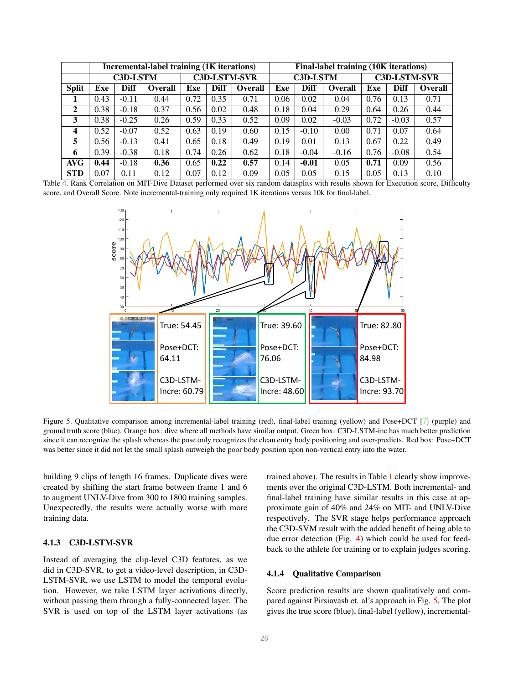<span id="page-6-2"></span>

|                  | <b>Incremental-label training (1K iterations)</b> |             |                     |      |                 | Final-label training (10K iterations) |                     |             |                |      |             |                |
|------------------|---------------------------------------------------|-------------|---------------------|------|-----------------|---------------------------------------|---------------------|-------------|----------------|------|-------------|----------------|
|                  | <b>C3D-LSTM</b>                                   |             | <b>C3D-LSTM-SVR</b> |      | <b>C3D-LSTM</b> |                                       | <b>C3D-LSTM-SVR</b> |             |                |      |             |                |
| <b>Split</b>     | Exe                                               | <b>Diff</b> | <b>Overall</b>      | Exe  | <b>Diff</b>     | <b>Overall</b>                        | Exe                 | <b>Diff</b> | <b>Overall</b> | Exe  | <b>Diff</b> | <b>Overall</b> |
|                  | 0.43                                              | $-0.11$     | 0.44                | 0.72 | 0.35            | 0.71                                  | 0.06                | 0.02        | 0.04           | 0.76 | 0.13        | 0.71           |
| $\overline{2}$   | 0.38                                              | $-0.18$     | 0.37                | 0.56 | 0.02            | 0.48                                  | 0.18                | 0.04        | 0.29           | 0.64 | 0.26        | 0.44           |
| 3                | 0.38                                              | $-0.25$     | 0.26                | 0.59 | 0.33            | 0.52                                  | 0.09                | 0.02        | $-0.03$        | 0.72 | $-0.03$     | 0.57           |
| $\boldsymbol{4}$ | 0.52                                              | $-0.07$     | 0.52                | 0.63 | 0.19            | 0.60                                  | 0.15                | $-0.10$     | 0.00           | 0.71 | 0.07        | 0.64           |
| 5                | 0.56                                              | $-0.13$     | 0.41                | 0.65 | 0.18            | 0.49                                  | 0.19                | 0.01        | 0.13           | 0.67 | 0.22        | 0.49           |
| 6                | 0.39                                              | $-0.38$     | 0.18                | 0.74 | 0.26            | 0.62                                  | 0.18                | $-0.04$     | $-0.16$        | 0.76 | $-0.08$     | 0.54           |
| <b>AVG</b>       | 0.44                                              | $-0.18$     | 0.36                | 0.65 | 0.22            | 0.57                                  | 0.14                | $-0.01$     | 0.05           | 0.71 | 0.09        | 0.56           |
| <b>STD</b>       | 0.07                                              | 0.11        | 0.12                | 0.07 | 0.12            | 0.09                                  | 0.05                | 0.05        | 0.15           | 0.05 | 0.13        | 0.10           |

<span id="page-6-0"></span>Table 4. Rank Correlation on MIT-Dive Dataset performed over six random datasplits with results shown for Execution score, Difficulty score, and Overall Score. Note incremental-training only required 1K iterations versus 10k for final-label.



<span id="page-6-1"></span>Figure 5. Qualitative comparison among incremental-label training (red), final-label training (yellow) and Pose+DCT [\[7\]](#page-8-7) (purple) and ground truth score (blue). Orange box: dive where all methods have similar output. Green box: C3D-LSTM-inc has much better prediction since it can recognize the splash whereas the pose only recognizes the clean entry body positioning and over-predicts. Red box: Pose+DCT was better since it did not let the small splash outweigh the poor body position upon non-vertical entry into the water.

building 9 clips of length 16 frames. Duplicate dives were created by shifting the start frame between frame 1 and 6 to augment UNLV-Dive from 300 to 1800 training samples. Unexpectedly, the results were actually worse with more training data.

## 4.1.3 C3D-LSTM-SVR

Instead of averaging the clip-level C3D features, as we did in C3D-SVR, to get a video-level description, in C3D-LSTM-SVR, we use LSTM to model the temporal evolution. However, we take LSTM layer activations directly, without passing them through a fully-connected layer. The SVR is used on top of the LSTM layer activations (as

trained above). The results in Table [1](#page-4-0) clearly show improvements over the original C3D-LSTM. Both incremental- and final-label training have similar results in this case at approximate gain of 40% and 24% on MIT- and UNLV-Dive respectively. The SVR stage helps performance approach the C3D-SVM result with the added benefit of being able to due error detection (Fig. [4\)](#page-5-0) which could be used for feedback to the athlete for training or to explain judges scoring.

### 4.1.4 Qualitative Comparison

Score prediction results are shown qualitatively and compared against Pirsiavash et. al's approach in Fig. [5.](#page-6-1) The plot gives the true score (blue), final-label (yellow), incremental-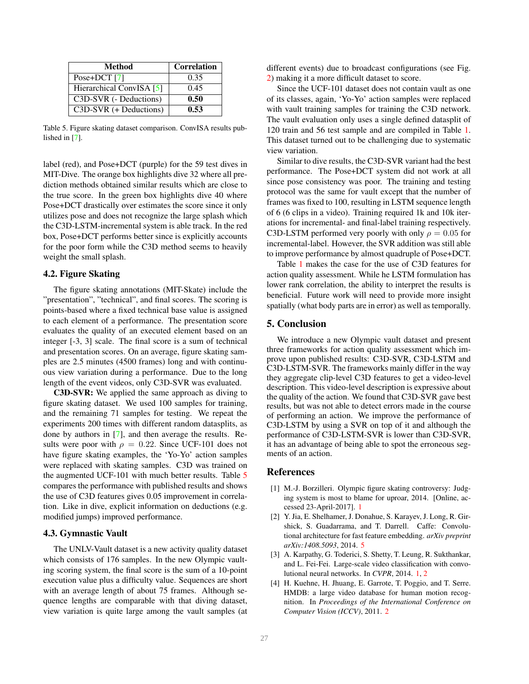<span id="page-7-5"></span>

| Method                   | <b>Correlation</b> |
|--------------------------|--------------------|
| Pose+DCT $[7]$           | 0.35               |
| Hierarchical ConvISA [5] | 0.45               |
| C3D-SVR (- Deductions)   | 0.50               |
| C3D-SVR (+ Deductions)   | 0.53               |

<span id="page-7-4"></span>Table 5. Figure skating dataset comparison. ConvISA results published in [\[7\]](#page-8-7).

label (red), and Pose+DCT (purple) for the 59 test dives in MIT-Dive. The orange box highlights dive 32 where all prediction methods obtained similar results which are close to the true score. In the green box highlights dive 40 where Pose+DCT drastically over estimates the score since it only utilizes pose and does not recognize the large splash which the C3D-LSTM-incremental system is able track. In the red box, Pose+DCT performs better since is explicitly accounts for the poor form while the C3D method seems to heavily weight the small splash.

### 4.2. Figure Skating

The figure skating annotations (MIT-Skate) include the "presentation", "technical", and final scores. The scoring is points-based where a fixed technical base value is assigned to each element of a performance. The presentation score evaluates the quality of an executed element based on an integer [-3, 3] scale. The final score is a sum of technical and presentation scores. On an average, figure skating samples are 2.5 minutes (4500 frames) long and with continuous view variation during a performance. Due to the long length of the event videos, only C3D-SVR was evaluated.

C3D-SVR: We applied the same approach as diving to figure skating dataset. We used 100 samples for training, and the remaining 71 samples for testing. We repeat the experiments 200 times with different random datasplits, as done by authors in [\[7\]](#page-8-7), and then average the results. Results were poor with  $\rho = 0.22$ . Since UCF-101 does not have figure skating examples, the 'Yo-Yo' action samples were replaced with skating samples. C3D was trained on the augmented UCF-101 with much better results. Table [5](#page-7-4) compares the performance with published results and shows the use of C3D features gives 0.05 improvement in correlation. Like in dive, explicit information on deductions (e.g. modified jumps) improved performance.

### 4.3. Gymnastic Vault

The UNLV-Vault dataset is a new activity quality dataset which consists of 176 samples. In the new Olympic vaulting scoring system, the final score is the sum of a 10-point execution value plus a difficulty value. Sequences are short with an average length of about 75 frames. Although sequence lengths are comparable with that diving dataset, view variation is quite large among the vault samples (at different events) due to broadcast configurations (see Fig. [2\)](#page-2-0) making it a more difficult dataset to score.

Since the UCF-101 dataset does not contain vault as one of its classes, again, 'Yo-Yo' action samples were replaced with vault training samples for training the C3D network. The vault evaluation only uses a single defined datasplit of 120 train and 56 test sample and are compiled in Table [1.](#page-4-0) This dataset turned out to be challenging due to systematic view variation.

Similar to dive results, the C3D-SVR variant had the best performance. The Pose+DCT system did not work at all since pose consistency was poor. The training and testing protocol was the same for vault except that the number of frames was fixed to 100, resulting in LSTM sequence length of 6 (6 clips in a video). Training required 1k and 10k iterations for incremental- and final-label training respectively. C3D-LSTM performed very poorly with only  $\rho = 0.05$  for incremental-label. However, the SVR addition was still able to improve performance by almost quadruple of Pose+DCT.

Table [1](#page-4-0) makes the case for the use of C3D features for action quality assessment. While he LSTM formulation has lower rank correlation, the ability to interpret the results is beneficial. Future work will need to provide more insight spatially (what body parts are in error) as well as temporally.

### 5. Conclusion

We introduce a new Olympic vault dataset and present three frameworks for action quality assessment which improve upon published results: C3D-SVR, C3D-LSTM and C3D-LSTM-SVR. The frameworks mainly differ in the way they aggregate clip-level C3D features to get a video-level description. This video-level description is expressive about the quality of the action. We found that C3D-SVR gave best results, but was not able to detect errors made in the course of performing an action. We improve the performance of C3D-LSTM by using a SVR on top of it and although the performance of C3D-LSTM-SVR is lower than C3D-SVR, it has an advantage of being able to spot the erroneous segments of an action.

### References

- <span id="page-7-0"></span>[1] M.-J. Borzilleri. Olympic figure skating controversy: Judging system is most to blame for uproar, 2014. [Online, accessed 23-April-2017]. [1](#page-0-1)
- <span id="page-7-3"></span>[2] Y. Jia, E. Shelhamer, J. Donahue, S. Karayev, J. Long, R. Girshick, S. Guadarrama, and T. Darrell. Caffe: Convolutional architecture for fast feature embedding. *arXiv preprint arXiv:1408.5093*, 2014. [5](#page-4-2)
- <span id="page-7-1"></span>[3] A. Karpathy, G. Toderici, S. Shetty, T. Leung, R. Sukthankar, and L. Fei-Fei. Large-scale video classification with convolutional neural networks. In *CVPR*, 2014. [1,](#page-0-1) [2](#page-1-0)
- <span id="page-7-2"></span>[4] H. Kuehne, H. Jhuang, E. Garrote, T. Poggio, and T. Serre. HMDB: a large video database for human motion recognition. In *Proceedings of the International Conference on Computer Vision (ICCV)*, 2011. [2](#page-1-0)